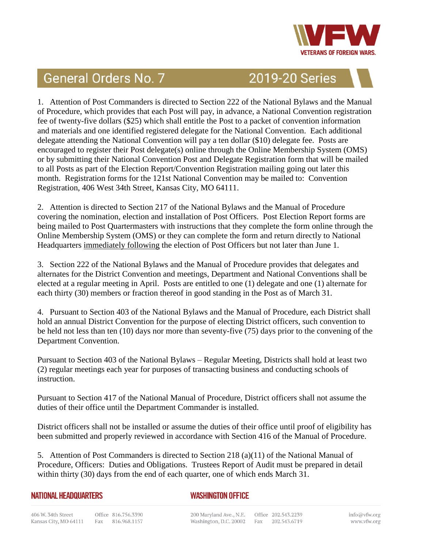

## **General Orders No. 7**

**2019-20 Series** 

1. Attention of Post Commanders is directed to Section 222 of the National Bylaws and the Manual of Procedure, which provides that each Post will pay, in advance, a National Convention registration fee of twenty-five dollars (\$25) which shall entitle the Post to a packet of convention information and materials and one identified registered delegate for the National Convention. Each additional delegate attending the National Convention will pay a ten dollar (\$10) delegate fee. Posts are encouraged to register their Post delegate(s) online through the Online Membership System (OMS) or by submitting their National Convention Post and Delegate Registration form that will be mailed to all Posts as part of the Election Report/Convention Registration mailing going out later this month. Registration forms for the 121st National Convention may be mailed to: Convention Registration, 406 West 34th Street, Kansas City, MO 64111.

2. Attention is directed to Section 217 of the National Bylaws and the Manual of Procedure covering the nomination, election and installation of Post Officers. Post Election Report forms are being mailed to Post Quartermasters with instructions that they complete the form online through the Online Membership System (OMS) or they can complete the form and return directly to National Headquarters immediately following the election of Post Officers but not later than June 1.

3. Section 222 of the National Bylaws and the Manual of Procedure provides that delegates and alternates for the District Convention and meetings, Department and National Conventions shall be elected at a regular meeting in April. Posts are entitled to one (1) delegate and one (1) alternate for each thirty (30) members or fraction thereof in good standing in the Post as of March 31.

4. Pursuant to Section 403 of the National Bylaws and the Manual of Procedure, each District shall hold an annual District Convention for the purpose of electing District officers, such convention to be held not less than ten (10) days nor more than seventy-five (75) days prior to the convening of the Department Convention.

Pursuant to Section 403 of the National Bylaws – Regular Meeting, Districts shall hold at least two (2) regular meetings each year for purposes of transacting business and conducting schools of instruction.

Pursuant to Section 417 of the National Manual of Procedure, District officers shall not assume the duties of their office until the Department Commander is installed.

District officers shall not be installed or assume the duties of their office until proof of eligibility has been submitted and properly reviewed in accordance with Section 416 of the Manual of Procedure.

5. Attention of Post Commanders is directed to Section 218 (a)(11) of the National Manual of Procedure, Officers: Duties and Obligations. Trustees Report of Audit must be prepared in detail within thirty (30) days from the end of each quarter, one of which ends March 31.

## **NATIONAL HEADQUARTERS**

## **WASHINGTON OFFICE**